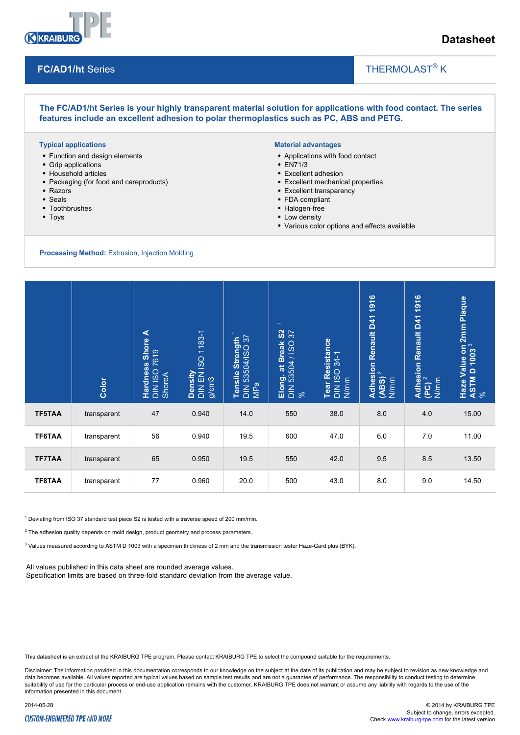

# **Datasheet**

## **FC/AD1/ht** Series

# THERMOLAST<sup>®</sup> K

**The FC/AD1/ht Series is your highly transparent material solution for applications with food contact. The series features include an excellent adhesion to polar thermoplastics such as PC, ABS and PETG.**

#### **Typical applications**

- Function and design elements
- Grip applications
- Household articles
- Packaging (for food and careproducts)
- Razors
- Seals
- Toothbrushes
- Toys

#### **Material advantages**

- Applications with food contact
- EN71/3
- Excellent adhesion
- Excellent mechanical properties
- Excellent transparency
- FDA compliant
- Halogen-free
- Low density
- Various color options and effects available

 $\overline{\phantom{a}}$ 

#### **Processing Method:** Extrusion, Injection Molding

|                                                                                                                                                                                                                                                                                                                                                                                                                                                                                                      | Color       | <b>Hardness Shore A</b><br>DIN ISO 7619<br>ShoreA | Density<br>DIN EN ISO 1183-1<br>g/cm3 | Tensile Strength <sup>1</sup><br>DIN 53504/ISO 37<br>MPa | $\overline{\phantom{0}}$<br>$\frac{2}{3}$<br>Elong. at Break <b>!</b><br>DIN 53504 / ISO :<br>% | Tear Resistance<br>DIN ISO 34-1<br>N/mm | Adhesion Renault D41 1916<br>(ABS) <sup>2</sup><br>N/mm | $(PC)^2$<br>N/mm | Haze Value on 2mm Plaque<br>ASTM D 1003 <sup>3</sup><br>% |
|------------------------------------------------------------------------------------------------------------------------------------------------------------------------------------------------------------------------------------------------------------------------------------------------------------------------------------------------------------------------------------------------------------------------------------------------------------------------------------------------------|-------------|---------------------------------------------------|---------------------------------------|----------------------------------------------------------|-------------------------------------------------------------------------------------------------|-----------------------------------------|---------------------------------------------------------|------------------|-----------------------------------------------------------|
| <b>TF5TAA</b>                                                                                                                                                                                                                                                                                                                                                                                                                                                                                        | transparent | 47                                                | 0.940                                 | 14.0                                                     | 550                                                                                             | 38.0                                    | 8.0                                                     | 4.0              | 15.00                                                     |
| TF6TAA                                                                                                                                                                                                                                                                                                                                                                                                                                                                                               | transparent | 56                                                | 0.940                                 | 19.5                                                     | 600                                                                                             | 47.0                                    | 6.0                                                     | 7.0              | 11.00                                                     |
| <b>TF7TAA</b>                                                                                                                                                                                                                                                                                                                                                                                                                                                                                        | transparent | 65                                                | 0.950                                 | 19.5                                                     | 550                                                                                             | 42.0                                    | 9.5                                                     | 8.5              | 13.50                                                     |
| TF8TAA                                                                                                                                                                                                                                                                                                                                                                                                                                                                                               | transparent | 77                                                | 0.960                                 | 20.0                                                     | 500                                                                                             | 43.0                                    | 8.0                                                     | 9.0              | 14.50                                                     |
| Deviating from ISO 37 standard test piece S2 is tested with a traverse speed of 200 mm/min.<br>$\frac{1}{2}$ The adhesion quality depends on mold design, product geometry and process parameters.<br>Values measured according to ASTM D 1003 with a specimen thickness of 2 mm and the transmission tester Haze-Gard plus (BYK).<br>All values published in this data sheet are rounded average values.<br>Specification limits are based on three-fold standard deviation from the average value. |             |                                                   |                                       |                                                          |                                                                                                 |                                         |                                                         |                  |                                                           |

This datasheet is an extract of the KRAIBURG TPE program. Please contact KRAIBURG TPE to select the compound suitable for the requirements.

Disclaimer: The information provided in this documentation corresponds to our knowledge on the subject at the date of its publication and may be subject to revision as new knowledge and data becomes available. All values reported are typical values based on sample test results and are not a guarantee of performance. The responsibility to conduct testing to determine suitability of use for the particular process or end-use application remains with the customer. KRAIBURG TPE does not warrant or assume any liability with regards to the use of the information presented in this document.

### **CUSTOM-ENGINEERED TPE AND MORE**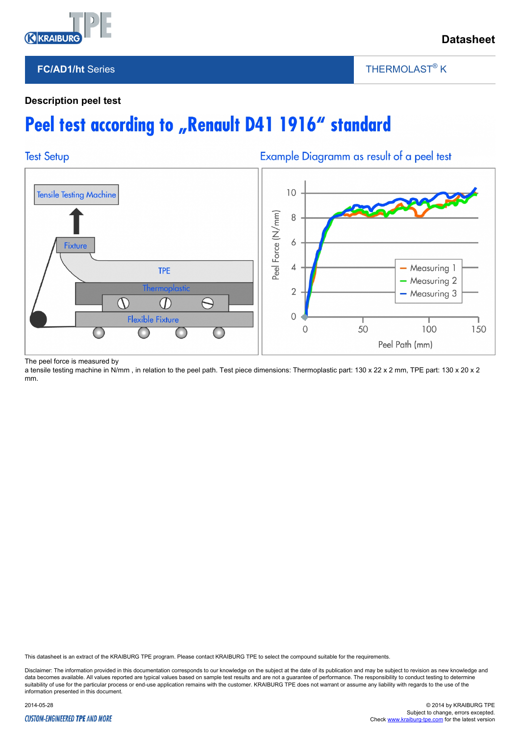

## **FC/AD1/ht** Series

THERMOLAST<sup>®</sup> K

 $\overline{\phantom{a}}$ 

## **Description peel test**

# Peel test according to "Renault D41 1916" standard



The peel force is measured by

a tensile testing machine in N/mm, in relation to the peel path. Test piece dimensions: Thermoplastic part: 130 x 22 x 2 mm, TPE part: 130 x 20 x 2 mm.

This datasheet is an extract of the KRAIBURG TPE program. Please contact KRAIBURG TPE to select the compound suitable for the requirements.

Disclaimer: The information provided in this documentation corresponds to our knowledge on the subject at the date of its publication and may be subject to revision as new knowledge and data becomes available. All values reported are typical values based on sample test results and are not a guarantee of performance. The responsibility to conduct testing to determine suitability of use for the particular process or end-use application remains with the customer. KRAIBURG TPE does not warrant or assume any liability with regards to the use of the information presented in this document.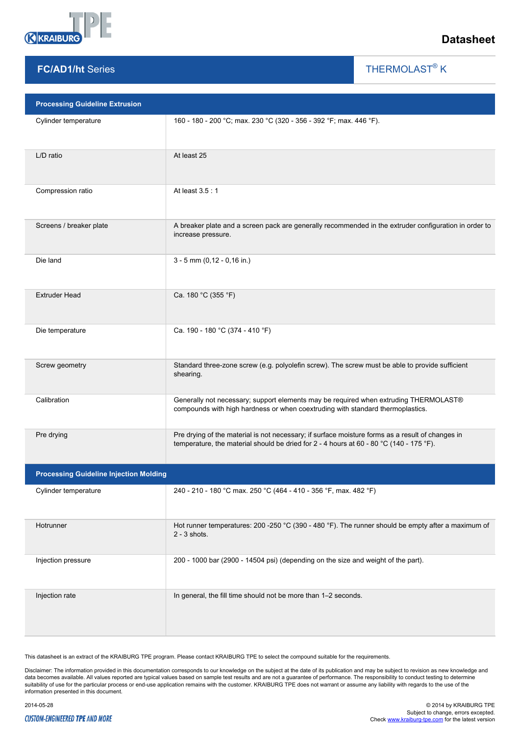

**FC/AD1/ht** Series

# **Datasheet**

THERMOLAST<sup>®</sup> K

 $\overline{\phantom{a}}$ 

| <b>Processing Guideline Extrusion</b>         |                                                                                                                                                                                             |  |  |  |  |
|-----------------------------------------------|---------------------------------------------------------------------------------------------------------------------------------------------------------------------------------------------|--|--|--|--|
| Cylinder temperature                          | 160 - 180 - 200 °C; max. 230 °C (320 - 356 - 392 °F; max. 446 °F).                                                                                                                          |  |  |  |  |
| L/D ratio                                     | At least 25                                                                                                                                                                                 |  |  |  |  |
| Compression ratio                             | At least 3.5:1                                                                                                                                                                              |  |  |  |  |
| Screens / breaker plate                       | A breaker plate and a screen pack are generally recommended in the extruder configuration in order to<br>increase pressure.                                                                 |  |  |  |  |
| Die land                                      | $3 - 5$ mm (0,12 - 0,16 in.)                                                                                                                                                                |  |  |  |  |
| <b>Extruder Head</b>                          | Ca. 180 °C (355 °F)                                                                                                                                                                         |  |  |  |  |
| Die temperature                               | Ca. 190 - 180 °C (374 - 410 °F)                                                                                                                                                             |  |  |  |  |
| Screw geometry                                | Standard three-zone screw (e.g. polyolefin screw). The screw must be able to provide sufficient<br>shearing.                                                                                |  |  |  |  |
| Calibration                                   | Generally not necessary; support elements may be required when extruding THERMOLAST®<br>compounds with high hardness or when coextruding with standard thermoplastics.                      |  |  |  |  |
| Pre drying                                    | Pre drying of the material is not necessary; if surface moisture forms as a result of changes in<br>temperature, the material should be dried for 2 - 4 hours at 60 - 80 °C (140 - 175 °F). |  |  |  |  |
| <b>Processing Guideline Injection Molding</b> |                                                                                                                                                                                             |  |  |  |  |
| Cylinder temperature                          | 240 - 210 - 180 °C max. 250 °C (464 - 410 - 356 °F, max. 482 °F)                                                                                                                            |  |  |  |  |
| Hotrunner                                     | Hot runner temperatures: 200 -250 °C (390 - 480 °F). The runner should be empty after a maximum of<br>$2 - 3$ shots.                                                                        |  |  |  |  |
| Injection pressure                            | 200 - 1000 bar (2900 - 14504 psi) (depending on the size and weight of the part).                                                                                                           |  |  |  |  |
| Injection rate                                | In general, the fill time should not be more than 1-2 seconds.                                                                                                                              |  |  |  |  |

This datasheet is an extract of the KRAIBURG TPE program. Please contact KRAIBURG TPE to select the compound suitable for the requirements.

Disclaimer: The information provided in this documentation corresponds to our knowledge on the subject at the date of its publication and may be subject to revision as new knowledge and<br>data becomes available. All values r